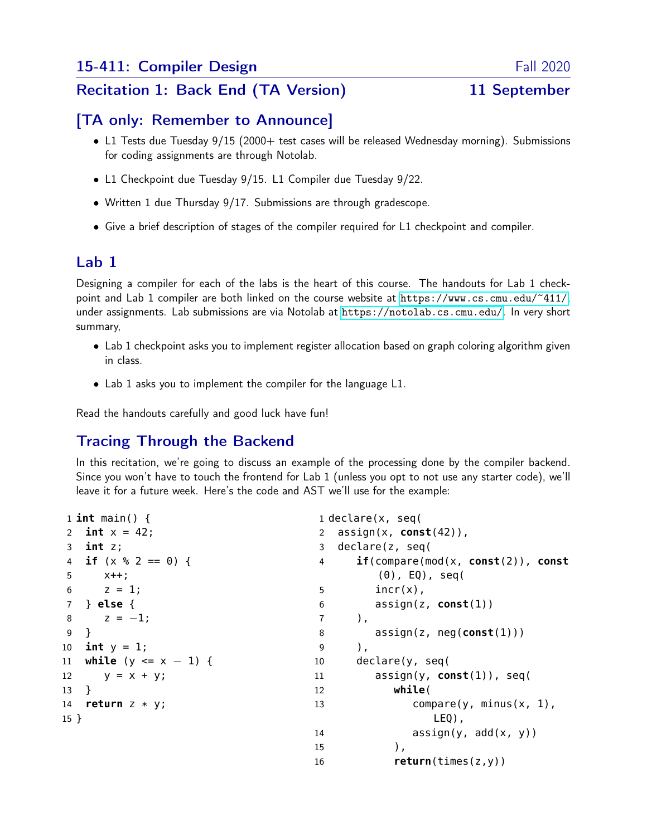## Recitation 1: Back End (TA Version) 11 September

## [TA only: Remember to Announce]

- L1 Tests due Tuesday 9/15 (2000+ test cases will be released Wednesday morning). Submissions for coding assignments are through Notolab.
- L1 Checkpoint due Tuesday 9/15. L1 Compiler due Tuesday 9/22.
- Written 1 due Thursday 9/17. Submissions are through gradescope.
- Give a brief description of stages of the compiler required for L1 checkpoint and compiler.

# Lab 1

Designing a compiler for each of the labs is the heart of this course. The handouts for Lab 1 checkpoint and Lab 1 compiler are both linked on the course website at <https://www.cs.cmu.edu/~411/>, under assignments. Lab submissions are via Notolab at <https://notolab.cs.cmu.edu/>. In very short summary,

- Lab 1 checkpoint asks you to implement register allocation based on graph coloring algorithm given in class.
- Lab 1 asks you to implement the compiler for the language L1.

Read the handouts carefully and good luck have fun!

# Tracing Through the Backend

In this recitation, we're going to discuss an example of the processing done by the compiler backend. Since you won't have to touch the frontend for Lab 1 (unless you opt to not use any starter code), we'll leave it for a future week. Here's the code and AST we'll use for the example:

```
1 int main() {
2 int x = 42;
3 int z;
4 if (x % 2 == 0) {
5 x++;
6 z = 1;
7 } else {
8 z = -1;9 }
10 int y = 1;
11 while (y <= x − 1) {
12 y = x + y;13 }
14 return z * y;
15 }
                                   1 declare(x, seq(
                                   2 assign(x, const(42)),
                                   3 declare(z, seq(
                                   4 if(compare(mod(x, const(2)), const
                                           (0), EQ), seq(
                                   5 incr(x),
                                   6 assign(z, const(1))
                                   7 ),
                                   8 assign(z, neg(const(1)))
                                   9 ),
                                  10 declare(y, seq(
                                  11 assign(y, const(1)), seq(
                                   12 while(
                                   13 compare(y, minus(x, 1),
                                                   LEQ),
                                  14 \quad \text{assign}(y, \text{ add}(x, y))15 ),
                                  16 return(times(z,y))
```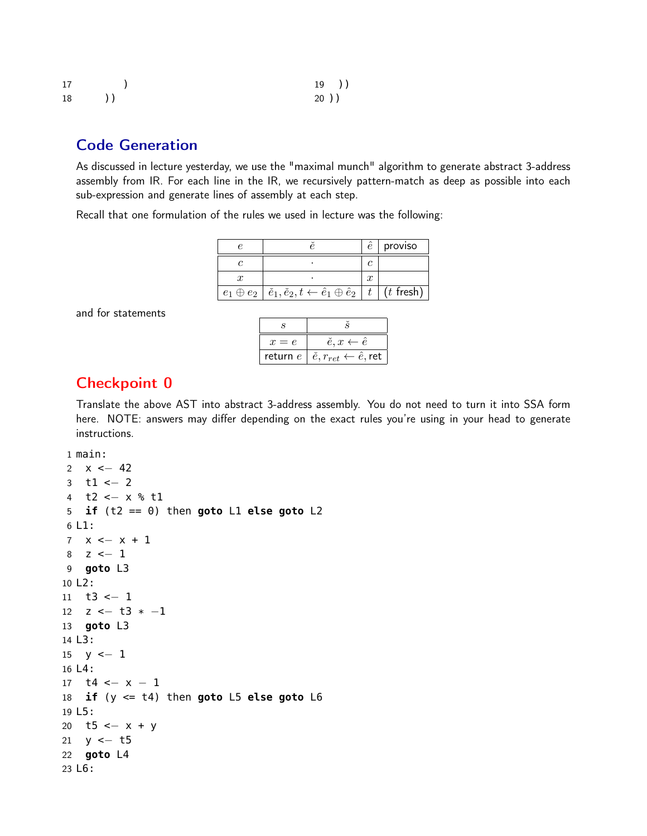| 17                                                  | 19)  |
|-----------------------------------------------------|------|
| 18<br>$\left( \begin{array}{c} \end{array} \right)$ | 20)) |

## Code Generation

As discussed in lecture yesterday, we use the "maximal munch" algorithm to generate abstract 3-address assembly from IR. For each line in the IR, we recursively pattern-match as deep as possible into each sub-expression and generate lines of assembly at each step.

Recall that one formulation of the rules we used in lecture was the following:

|                                                                                         |  | proviso     |
|-----------------------------------------------------------------------------------------|--|-------------|
|                                                                                         |  |             |
|                                                                                         |  |             |
| $e_1 \oplus e_2 \mid \check{e}_1, \check{e}_2, t \leftarrow \hat{e}_1 \oplus \hat{e}_2$ |  | $(t$ fresh) |

and for statements

| $x = e$ | $\check{e}, x \leftarrow \check{e}$                           |
|---------|---------------------------------------------------------------|
|         | return $e \mid \check{e}, r_{ret} \leftarrow \hat{e}, r_{et}$ |

## Checkpoint 0

Translate the above AST into abstract 3-address assembly. You do not need to turn it into SSA form here. NOTE: answers may differ depending on the exact rules you're using in your head to generate instructions.

1 main:

```
2 x \le -423 \text{ } t1 \leftarrow 24 t2 <− x % t1
5 if (t2 == 0) then goto L1 else goto L2
6 L1:
7 x \leftarrow x + 18 z \le -19 goto L3
10 L2:
11 t3 <− 1
12 z \leftarrow t3 * -113 goto L3
14 L3:
15 y \le -116 L4:
17 t4 <- x - 118 if (y <= t4) then goto L5 else goto L6
19 L5:
20 t5 <− x + y
21 y <− t5
22 goto L4
23 L6:
```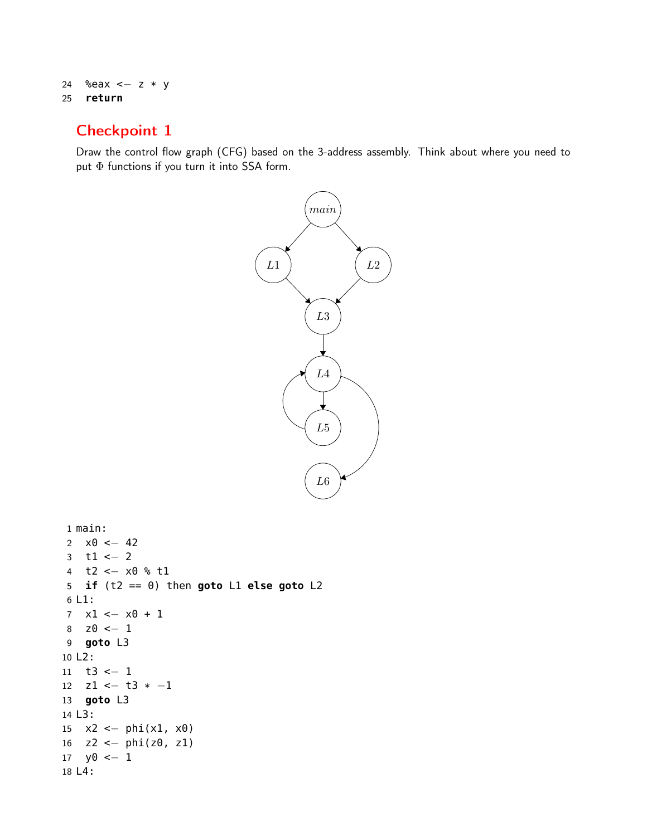```
24 %eax <− z * y
25 return
```
# Checkpoint 1

Draw the control flow graph (CFG) based on the 3-address assembly. Think about where you need to put Φ functions if you turn it into SSA form.



```
1 main:
2 \times 0 < - 42
3 t1 <− 2
4 t2 <− x0 % t1
5 if (t2 == 0) then goto L1 else goto L2
6 L1:
7 x1 <− x0 + 1
8 z0 \le -19 goto L3
10 L2:
11 t3 <− 1
12 z1 <− t3 * −1
13 goto L3
14 L3:
15 x2 \leftarrow \phihi(x1, x0)
16 z^2 < phi(z^0, z^1)
17 y0 \le -118 L4:
```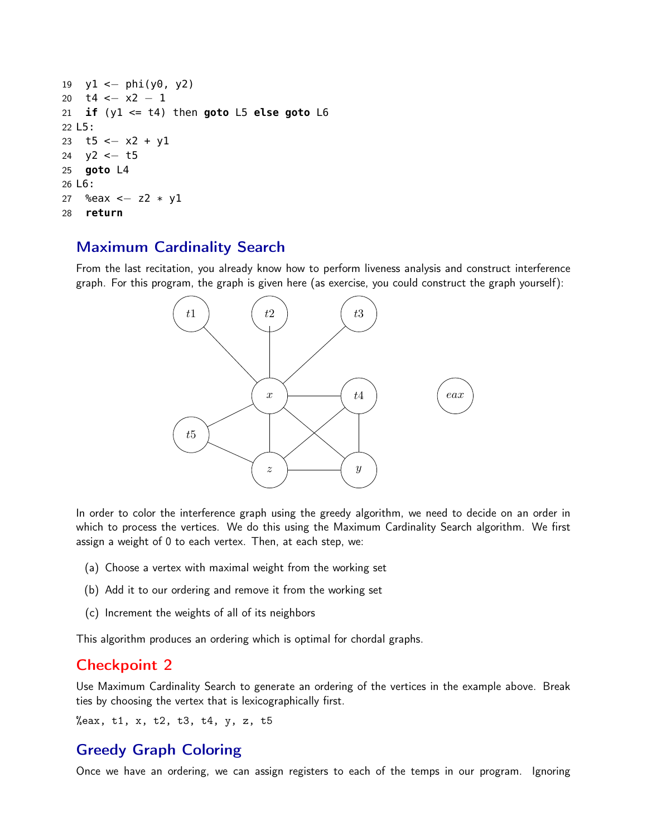```
19 y1 <- phi(y0, y2)
20 t4 <− x2 − 1
21 if (y1 <= t4) then goto L5 else goto L6
22 L5:
23 t5 <− x2 + y1
24 y2 <− t5
25 goto L4
26 L6:
27 %eax <- z2 * y1
28 return
```
# Maximum Cardinality Search

From the last recitation, you already know how to perform liveness analysis and construct interference graph. For this program, the graph is given here (as exercise, you could construct the graph yourself):



In order to color the interference graph using the greedy algorithm, we need to decide on an order in which to process the vertices. We do this using the Maximum Cardinality Search algorithm. We first assign a weight of 0 to each vertex. Then, at each step, we:

- (a) Choose a vertex with maximal weight from the working set
- (b) Add it to our ordering and remove it from the working set
- (c) Increment the weights of all of its neighbors

This algorithm produces an ordering which is optimal for chordal graphs.

## Checkpoint 2

Use Maximum Cardinality Search to generate an ordering of the vertices in the example above. Break ties by choosing the vertex that is lexicographically first.

%eax, t1, x, t2, t3, t4, y, z, t5

# Greedy Graph Coloring

Once we have an ordering, we can assign registers to each of the temps in our program. Ignoring